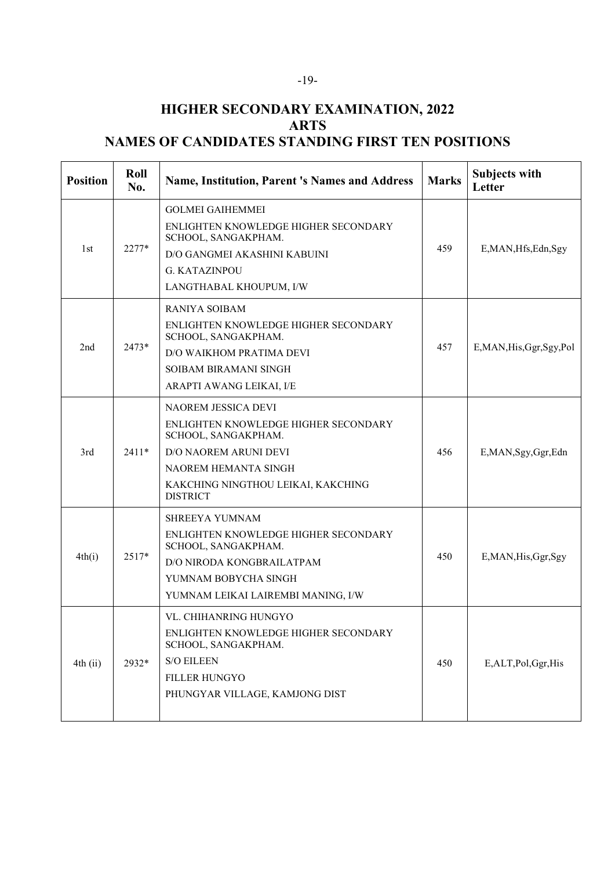## **HIGHER SECONDARY EXAMINATION, 2022 ARTS NAMES OF CANDIDATES STANDING FIRST TEN POSITIONS**

| <b>Position</b> | Roll<br>No. | <b>Name, Institution, Parent 's Names and Address</b>                                                                                                                                               | <b>Marks</b> | <b>Subjects with</b><br>Letter |
|-----------------|-------------|-----------------------------------------------------------------------------------------------------------------------------------------------------------------------------------------------------|--------------|--------------------------------|
| 1st             | 2277*       | <b>GOLMEI GAIHEMMEI</b><br>ENLIGHTEN KNOWLEDGE HIGHER SECONDARY<br>SCHOOL, SANGAKPHAM.<br>D/O GANGMEI AKASHINI KABUINI<br><b>G. KATAZINPOU</b><br>LANGTHABAL KHOUPUM, I/W                           | 459          | E, MAN, Hfs, Edn, Sgy          |
| 2 <sub>nd</sub> | $2473*$     | RANIYA SOIBAM<br>ENLIGHTEN KNOWLEDGE HIGHER SECONDARY<br>SCHOOL, SANGAKPHAM.<br>D/O WAIKHOM PRATIMA DEVI<br>SOIBAM BIRAMANI SINGH<br>ARAPTI AWANG LEIKAI, I/E                                       | 457          | E, MAN, His, Ggr, Sgy, Pol     |
| 3rd             | $2411*$     | <b>NAOREM JESSICA DEVI</b><br>ENLIGHTEN KNOWLEDGE HIGHER SECONDARY<br>SCHOOL, SANGAKPHAM.<br>D/O NAOREM ARUNI DEVI<br>NAOREM HEMANTA SINGH<br>KAKCHING NINGTHOU LEIKAI, KAKCHING<br><b>DISTRICT</b> | 456          | E,MAN,Sgy,Ggr,Edn              |
| 4th(i)          | $2517*$     | <b>SHREEYA YUMNAM</b><br>ENLIGHTEN KNOWLEDGE HIGHER SECONDARY<br>SCHOOL, SANGAKPHAM.<br>D/O NIRODA KONGBRAILATPAM<br>YUMNAM BOBYCHA SINGH<br>YUMNAM LEIKAI LAIREMBI MANING, I/W                     | 450          | E, MAN, His, Ggr, Sgy          |
| $4th$ (ii)      | 2932*       | VL. CHIHANRING HUNGYO<br>ENLIGHTEN KNOWLEDGE HIGHER SECONDARY<br>SCHOOL, SANGAKPHAM.<br><b>S/O EILEEN</b><br><b>FILLER HUNGYO</b><br>PHUNGYAR VILLAGE, KAMJONG DIST                                 | 450          | E,ALT,Pol,Ggr,His              |